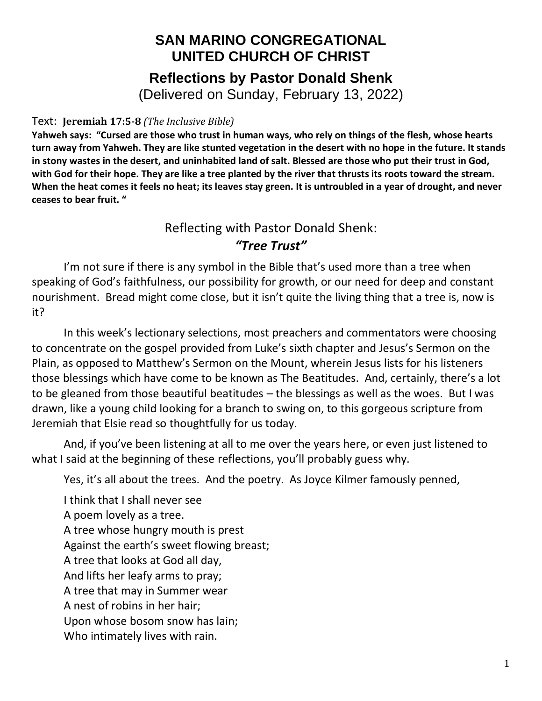## **SAN MARINO CONGREGATIONAL UNITED CHURCH OF CHRIST Reflections by Pastor Donald Shenk**

(Delivered on Sunday, February 13, 2022)

## Text: **Jeremiah 17:5-8** *(The Inclusive Bible)*

**Yahweh says: "Cursed are those who trust in human ways, who rely on things of the flesh, whose hearts turn away from Yahweh. They are like stunted vegetation in the desert with no hope in the future. It stands in stony wastes in the desert, and uninhabited land of salt. Blessed are those who put their trust in God, with God for their hope. They are like a tree planted by the river that thrusts its roots toward the stream. When the heat comes it feels no heat; its leaves stay green. It is untroubled in a year of drought, and never ceases to bear fruit. "**

## Reflecting with Pastor Donald Shenk: *"Tree Trust"*

I'm not sure if there is any symbol in the Bible that's used more than a tree when speaking of God's faithfulness, our possibility for growth, or our need for deep and constant nourishment. Bread might come close, but it isn't quite the living thing that a tree is, now is it?

In this week's lectionary selections, most preachers and commentators were choosing to concentrate on the gospel provided from Luke's sixth chapter and Jesus's Sermon on the Plain, as opposed to Matthew's Sermon on the Mount, wherein Jesus lists for his listeners those blessings which have come to be known as The Beatitudes. And, certainly, there's a lot to be gleaned from those beautiful beatitudes – the blessings as well as the woes. But I was drawn, like a young child looking for a branch to swing on, to this gorgeous scripture from Jeremiah that Elsie read so thoughtfully for us today.

And, if you've been listening at all to me over the years here, or even just listened to what I said at the beginning of these reflections, you'll probably guess why.

Yes, it's all about the trees. And the poetry. As Joyce Kilmer famously penned,

I think that I shall never see A poem lovely as a tree. A tree whose hungry mouth is prest Against the earth's sweet flowing breast; A tree that looks at God all day, And lifts her leafy arms to pray; A tree that may in Summer wear A nest of robins in her hair; Upon whose bosom snow has lain; Who intimately lives with rain.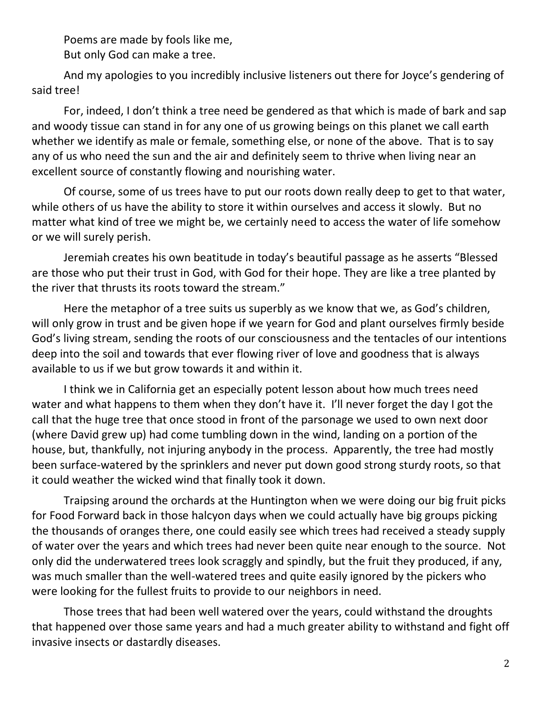Poems are made by fools like me, But only God can make a tree.

And my apologies to you incredibly inclusive listeners out there for Joyce's gendering of said tree!

For, indeed, I don't think a tree need be gendered as that which is made of bark and sap and woody tissue can stand in for any one of us growing beings on this planet we call earth whether we identify as male or female, something else, or none of the above. That is to say any of us who need the sun and the air and definitely seem to thrive when living near an excellent source of constantly flowing and nourishing water.

Of course, some of us trees have to put our roots down really deep to get to that water, while others of us have the ability to store it within ourselves and access it slowly. But no matter what kind of tree we might be, we certainly need to access the water of life somehow or we will surely perish.

Jeremiah creates his own beatitude in today's beautiful passage as he asserts "Blessed are those who put their trust in God, with God for their hope. They are like a tree planted by the river that thrusts its roots toward the stream."

Here the metaphor of a tree suits us superbly as we know that we, as God's children, will only grow in trust and be given hope if we yearn for God and plant ourselves firmly beside God's living stream, sending the roots of our consciousness and the tentacles of our intentions deep into the soil and towards that ever flowing river of love and goodness that is always available to us if we but grow towards it and within it.

I think we in California get an especially potent lesson about how much trees need water and what happens to them when they don't have it. I'll never forget the day I got the call that the huge tree that once stood in front of the parsonage we used to own next door (where David grew up) had come tumbling down in the wind, landing on a portion of the house, but, thankfully, not injuring anybody in the process. Apparently, the tree had mostly been surface-watered by the sprinklers and never put down good strong sturdy roots, so that it could weather the wicked wind that finally took it down.

Traipsing around the orchards at the Huntington when we were doing our big fruit picks for Food Forward back in those halcyon days when we could actually have big groups picking the thousands of oranges there, one could easily see which trees had received a steady supply of water over the years and which trees had never been quite near enough to the source. Not only did the underwatered trees look scraggly and spindly, but the fruit they produced, if any, was much smaller than the well-watered trees and quite easily ignored by the pickers who were looking for the fullest fruits to provide to our neighbors in need.

Those trees that had been well watered over the years, could withstand the droughts that happened over those same years and had a much greater ability to withstand and fight off invasive insects or dastardly diseases.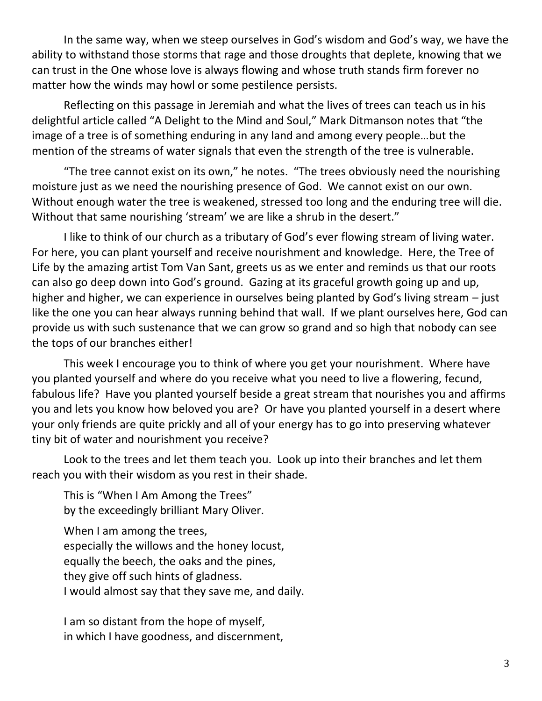In the same way, when we steep ourselves in God's wisdom and God's way, we have the ability to withstand those storms that rage and those droughts that deplete, knowing that we can trust in the One whose love is always flowing and whose truth stands firm forever no matter how the winds may howl or some pestilence persists.

Reflecting on this passage in Jeremiah and what the lives of trees can teach us in his delightful article called "A Delight to the Mind and Soul," Mark Ditmanson notes that "the image of a tree is of something enduring in any land and among every people…but the mention of the streams of water signals that even the strength of the tree is vulnerable.

"The tree cannot exist on its own," he notes. "The trees obviously need the nourishing moisture just as we need the nourishing presence of God. We cannot exist on our own. Without enough water the tree is weakened, stressed too long and the enduring tree will die. Without that same nourishing 'stream' we are like a shrub in the desert."

I like to think of our church as a tributary of God's ever flowing stream of living water. For here, you can plant yourself and receive nourishment and knowledge. Here, the Tree of Life by the amazing artist Tom Van Sant, greets us as we enter and reminds us that our roots can also go deep down into God's ground. Gazing at its graceful growth going up and up, higher and higher, we can experience in ourselves being planted by God's living stream – just like the one you can hear always running behind that wall. If we plant ourselves here, God can provide us with such sustenance that we can grow so grand and so high that nobody can see the tops of our branches either!

This week I encourage you to think of where you get your nourishment. Where have you planted yourself and where do you receive what you need to live a flowering, fecund, fabulous life? Have you planted yourself beside a great stream that nourishes you and affirms you and lets you know how beloved you are? Or have you planted yourself in a desert where your only friends are quite prickly and all of your energy has to go into preserving whatever tiny bit of water and nourishment you receive?

Look to the trees and let them teach you. Look up into their branches and let them reach you with their wisdom as you rest in their shade.

This is "When I Am Among the Trees" by the exceedingly brilliant Mary Oliver.

When I am among the trees, especially the willows and the honey locust, equally the beech, the oaks and the pines, they give off such hints of gladness. I would almost say that they save me, and daily.

I am so distant from the hope of myself, in which I have goodness, and discernment,